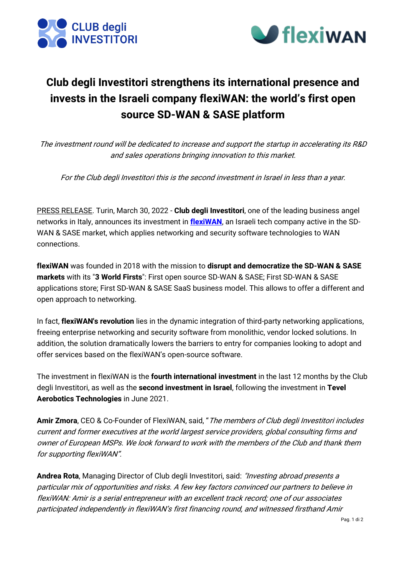



## **Club degli Investitori strengthens its international presence and invests in the Israeli company flexiWAN: the world's first open source SD-WAN & SASE platform**

The investment round will be dedicated to increase and support the startup in accelerating its R&D and sales operations bringing innovation to this market.

For the Club degli Investitori this is the second investment in Israel in less than a year.

PRESS RELEASE. Turin, March 30, 2022 - **Club degli Investitori**, one of the leading business angel networks in Italy, announces its investment in **[flexiWAN](https://flexiwan.com/)**, an Israeli tech company active in the SD-WAN & SASE market, which applies networking and security software technologies to WAN connections.

**flexiWAN** was founded in 2018 with the mission to **disrupt and democratize the SD-WAN & SASE markets** with its "**3 World Firsts**": First open source SD-WAN & SASE; First SD-WAN & SASE applications store; First SD-WAN & SASE SaaS business model. This allows to offer a different and open approach to networking.

In fact, **flexiWAN's revolution** lies in the dynamic integration of third-party networking applications, freeing enterprise networking and security software from monolithic, vendor locked solutions. In addition, the solution dramatically lowers the barriers to entry for companies looking to adopt and offer services based on the flexiWAN's open-source software.

The investment in flexiWAN is the **fourth international investment** in the last 12 months by the Club degli Investitori, as well as the **second investment in Israel**, following the investment in **Tevel Aerobotics Technologies** in June 2021.

**Amir Zmora**, CEO & Co-Founder of FlexiWAN, said, "The members of Club degli Investitori includes current and former executives at the world largest service providers, global consulting firms and owner of European MSPs. We look forward to work with the members of the Club and thank them for supporting flexiWAN".

**Andrea Rota**, Managing Director of Club degli Investitori, said: "Investing abroad presents a particular mix of opportunities and risks. A few key factors convinced our partners to believe in flexiWAN: Amir is a serial entrepreneur with an excellent track record; one of our associates participated independently in flexiWAN's first financing round, and witnessed firsthand Amir